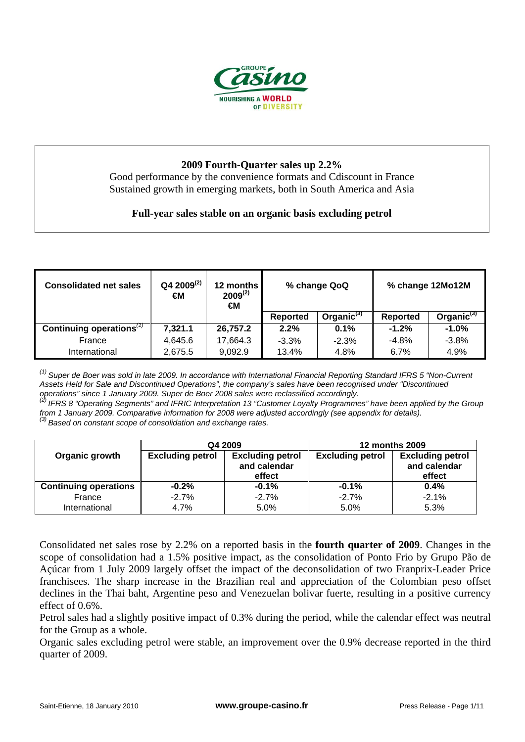

## **2009 Fourth-Quarter sales up 2.2%**

Good performance by the convenience formats and Cdiscount in France Sustained growth in emerging markets, both in South America and Asia

# **Full-year sales stable on an organic basis excluding petrol**

| <b>Consolidated net sales</b> | $Q42009^{(2)}$<br>€M | 12 months<br>$2009^{(2)}$<br>€Μ | % change QoQ |                  |          | % change 12Mo12M |
|-------------------------------|----------------------|---------------------------------|--------------|------------------|----------|------------------|
|                               |                      |                                 | Reported     | Organic $^{(3)}$ | Reported | Organic $^{(3)}$ |
| Continuing operations $(1)$   | 7,321.1              | 26,757.2                        | 2.2%         | $0.1\%$          | $-1.2%$  | $-1.0%$          |
| France                        | 4,645.6              | 17,664.3                        | $-3.3%$      | $-2.3%$          | $-4.8%$  | $-3.8%$          |
| International                 | 2,675.5              | 9,092.9                         | 13.4%        | 4.8%             | $6.7\%$  | 4.9%             |

*(1) Super de Boer was sold in late 2009. In accordance with International Financial Reporting Standard IFRS 5 "Non-Current Assets Held for Sale and Discontinued Operations", the company's sales have been recognised under "Discontinued operations" since 1 January 2009. Superations, the company s sales have been recogn* operations" since 1 January 2009. Super de Boer 2008 sales were reclassified accordingly.

*(2) IFRS 8 "Operating Segments" and IFRIC Interpretation 13 "Customer Loyalty Programmes" have been applied by the Group from 1 January 2009. Comparative information for 2008 were adjusted accordingly (see appendix for details).*<br><sup>(3)</sup> Based on constant scope of consolidation and exchange rates.

|                              | Q4 2009                 |                                                   | <b>12 months 2009</b>   |                                                   |  |
|------------------------------|-------------------------|---------------------------------------------------|-------------------------|---------------------------------------------------|--|
| Organic growth               | <b>Excluding petrol</b> | <b>Excluding petrol</b><br>and calendar<br>effect | <b>Excluding petrol</b> | <b>Excluding petrol</b><br>and calendar<br>effect |  |
| <b>Continuing operations</b> | $-0.2\%$                | $-0.1%$                                           | $-0.1%$                 | $0.4\%$                                           |  |
| France<br>International      | $-2.7%$<br>4.7%         | $-2.7%$<br>5.0%                                   | $-2.7%$<br>5.0%         | $-2.1%$<br>5.3%                                   |  |

Consolidated net sales rose by 2.2% on a reported basis in the **fourth quarter of 2009**. Changes in the scope of consolidation had a 1.5% positive impact, as the consolidation of Ponto Frio by Grupo Pão de Açúcar from 1 July 2009 largely offset the impact of the deconsolidation of two Franprix-Leader Price franchisees. The sharp increase in the Brazilian real and appreciation of the Colombian peso offset declines in the Thai baht, Argentine peso and Venezuelan bolivar fuerte, resulting in a positive currency effect of 0.6%.

Petrol sales had a slightly positive impact of 0.3% during the period, while the calendar effect was neutral for the Group as a whole.

Organic sales excluding petrol were stable, an improvement over the 0.9% decrease reported in the third quarter of 2009.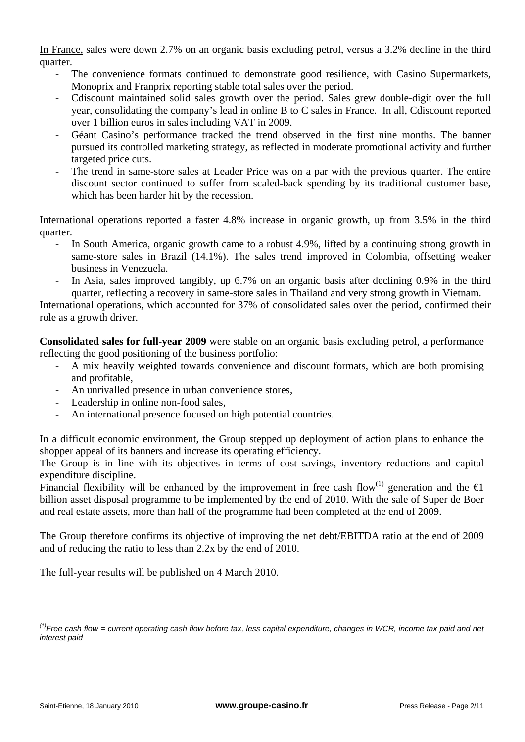In France, sales were down 2.7% on an organic basis excluding petrol, versus a 3.2% decline in the third quarter.

- The convenience formats continued to demonstrate good resilience, with Casino Supermarkets, Monoprix and Franprix reporting stable total sales over the period.
- Cdiscount maintained solid sales growth over the period. Sales grew double-digit over the full year, consolidating the company's lead in online B to C sales in France. In all, Cdiscount reported over 1 billion euros in sales including VAT in 2009.
- Géant Casino's performance tracked the trend observed in the first nine months. The banner pursued its controlled marketing strategy, as reflected in moderate promotional activity and further targeted price cuts.
- The trend in same-store sales at Leader Price was on a par with the previous quarter. The entire discount sector continued to suffer from scaled-back spending by its traditional customer base, which has been harder hit by the recession.

International operations reported a faster 4.8% increase in organic growth, up from 3.5% in the third quarter.

- In South America, organic growth came to a robust 4.9%, lifted by a continuing strong growth in same-store sales in Brazil (14.1%). The sales trend improved in Colombia, offsetting weaker business in Venezuela.
- In Asia, sales improved tangibly, up 6.7% on an organic basis after declining 0.9% in the third quarter, reflecting a recovery in same-store sales in Thailand and very strong growth in Vietnam.

International operations, which accounted for 37% of consolidated sales over the period, confirmed their role as a growth driver.

**Consolidated sales for full-year 2009** were stable on an organic basis excluding petrol, a performance reflecting the good positioning of the business portfolio:

- A mix heavily weighted towards convenience and discount formats, which are both promising and profitable,
- An unrivalled presence in urban convenience stores,
- Leadership in online non-food sales,
- An international presence focused on high potential countries.

In a difficult economic environment, the Group stepped up deployment of action plans to enhance the shopper appeal of its banners and increase its operating efficiency.

The Group is in line with its objectives in terms of cost savings, inventory reductions and capital expenditure discipline.

Financial flexibility will be enhanced by the improvement in free cash flow<sup>(1)</sup> generation and the  $\bigoplus$ billion asset disposal programme to be implemented by the end of 2010. With the sale of Super de Boer and real estate assets, more than half of the programme had been completed at the end of 2009.

The Group therefore confirms its objective of improving the net debt/EBITDA ratio at the end of 2009 and of reducing the ratio to less than 2.2x by the end of 2010.

The full-year results will be published on 4 March 2010.

*<sup>(1)</sup>Free cash flow = current operating cash flow before tax, less capital expenditure, changes in WCR, income tax paid and net interest paid*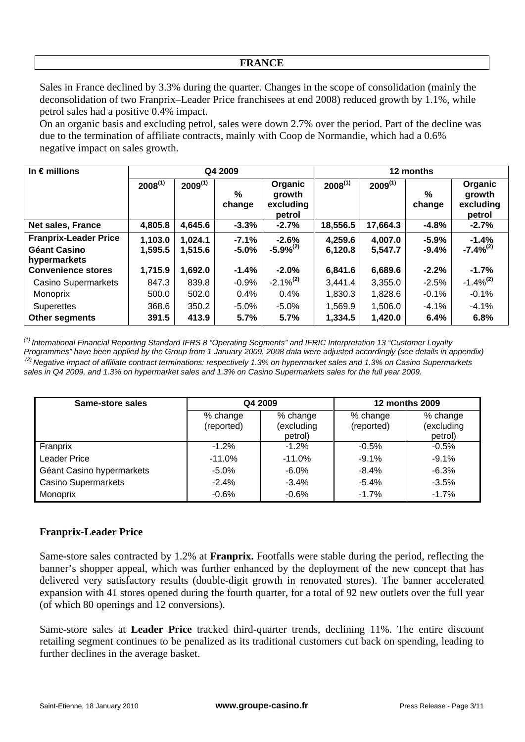#### **FRANCE**

Sales in France declined by 3.3% during the quarter. Changes in the scope of consolidation (mainly the deconsolidation of two Franprix–Leader Price franchisees at end 2008) reduced growth by 1.1%, while petrol sales had a positive 0.4% impact.

On an organic basis and excluding petrol, sales were down 2.7% over the period. Part of the decline was due to the termination of affiliate contracts, mainly with Coop de Normandie, which had a 0.6% negative impact on sales growth.

| In $\epsilon$ millions                    |              |              | Q4 2009     |                                          | 12 months    |              |             |                                          |
|-------------------------------------------|--------------|--------------|-------------|------------------------------------------|--------------|--------------|-------------|------------------------------------------|
|                                           | $2008^{(1)}$ | $2009^{(1)}$ | %<br>change | Organic<br>growth<br>excluding<br>petrol | $2008^{(1)}$ | $2009^{(1)}$ | %<br>change | Organic<br>growth<br>excluding<br>petrol |
| Net sales, France                         | 4,805.8      | 4,645.6      | $-3.3%$     | $-2.7%$                                  | 18,556.5     | 17,664.3     | $-4.8%$     | $-2.7%$                                  |
| <b>Franprix-Leader Price</b>              | 1,103.0      | 1,024.1      | $-7.1%$     | $-2.6%$                                  | 4,259.6      | 4,007.0      | $-5.9%$     | $-1.4%$                                  |
| <b>Géant Casino</b>                       | 1,595.5      | 1,515.6      | $-5.0%$     | $-5.9%^{(2)}$                            | 6,120.8      | 5,547.7      | $-9.4%$     | $-7.4\%^{(2)}$                           |
| hypermarkets<br><b>Convenience stores</b> | 1,715.9      | 1,692.0      | $-1.4%$     | $-2.0%$                                  | 6,841.6      | 6,689.6      | $-2.2%$     | $-1.7%$                                  |
|                                           |              |              |             |                                          |              |              |             |                                          |
| <b>Casino Supermarkets</b>                | 847.3        | 839.8        | $-0.9%$     | $-2.1\%^{(2)}$                           | 3,441.4      | 3,355.0      | $-2.5%$     | $-1.4\%$ <sup>(2)</sup>                  |
| Monoprix                                  | 500.0        | 502.0        | 0.4%        | 0.4%                                     | 1,830.3      | 1,828.6      | $-0.1%$     | $-0.1%$                                  |
| <b>Superettes</b>                         | 368.6        | 350.2        | $-5.0%$     | $-5.0%$                                  | 1,569.9      | 1,506.0      | $-4.1%$     | $-4.1%$                                  |
| <b>Other segments</b>                     | 391.5        | 413.9        | 5.7%        | 5.7%                                     | 1,334.5      | 1,420.0      | 6.4%        | 6.8%                                     |

*(1) International Financial Reporting Standard IFRS 8 "Operating Segments" and IFRIC Interpretation 13 "Customer Loyalty Programmes" have been applied by the Group from 1 January 2009. 2008 data were adjusted accordingly (see details in appendix) (2) Negative impact of affiliate contract terminations: respectively 1.3% on hypermarket sales and 1.3% on Casino Supermarkets sales in Q4 2009, and 1.3% on hypermarket sales and 1.3% on Casino Supermarkets sales for the full year 2009.*

| Same-store sales           | Q4 2009                |                                   | <b>12 months 2009</b>  |                                   |
|----------------------------|------------------------|-----------------------------------|------------------------|-----------------------------------|
|                            | % change<br>(reported) | % change<br>(excluding<br>petrol) | % change<br>(reported) | % change<br>(excluding<br>petrol) |
| Franprix                   | $-1.2\%$               | $-1.2%$                           | $-0.5%$                | $-0.5%$                           |
| <b>Leader Price</b>        | $-11.0%$               | $-11.0%$                          | $-9.1%$                | $-9.1%$                           |
| Géant Casino hypermarkets  | $-5.0\%$               | $-6.0\%$                          | $-8.4%$                | $-6.3%$                           |
| <b>Casino Supermarkets</b> | $-2.4%$                | $-3.4%$                           | $-5.4%$                | $-3.5%$                           |
| Monoprix                   | $-0.6%$                | $-0.6%$                           | $-1.7%$                | $-1.7%$                           |

## **Franprix-Leader Price**

Same-store sales contracted by 1.2% at **Franprix.** Footfalls were stable during the period, reflecting the banner's shopper appeal, which was further enhanced by the deployment of the new concept that has delivered very satisfactory results (double-digit growth in renovated stores). The banner accelerated expansion with 41 stores opened during the fourth quarter, for a total of 92 new outlets over the full year (of which 80 openings and 12 conversions).

Same-store sales at **Leader Price** tracked third-quarter trends, declining 11%. The entire discount retailing segment continues to be penalized as its traditional customers cut back on spending, leading to further declines in the average basket.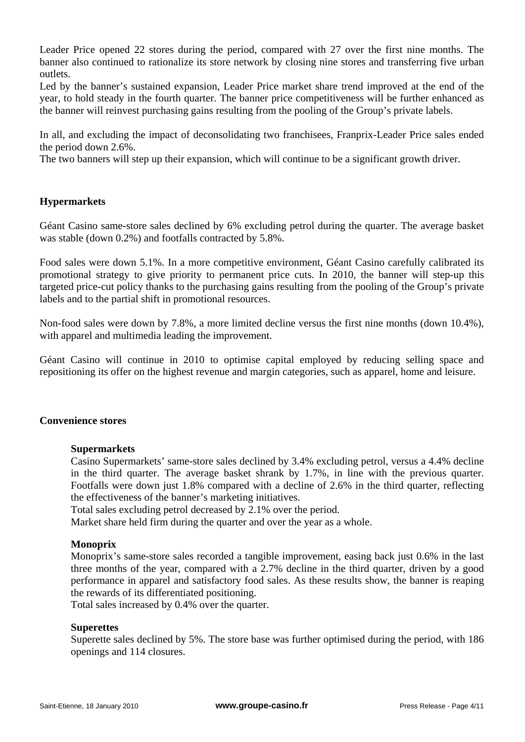Leader Price opened 22 stores during the period, compared with 27 over the first nine months. The banner also continued to rationalize its store network by closing nine stores and transferring five urban outlets.

Led by the banner's sustained expansion, Leader Price market share trend improved at the end of the year, to hold steady in the fourth quarter. The banner price competitiveness will be further enhanced as the banner will reinvest purchasing gains resulting from the pooling of the Group's private labels.

In all, and excluding the impact of deconsolidating two franchisees, Franprix-Leader Price sales ended the period down 2.6%.

The two banners will step up their expansion, which will continue to be a significant growth driver.

## **Hypermarkets**

Géant Casino same-store sales declined by 6% excluding petrol during the quarter. The average basket was stable (down 0.2%) and footfalls contracted by 5.8%.

Food sales were down 5.1%. In a more competitive environment, Géant Casino carefully calibrated its promotional strategy to give priority to permanent price cuts. In 2010, the banner will step-up this targeted price-cut policy thanks to the purchasing gains resulting from the pooling of the Group's private labels and to the partial shift in promotional resources.

Non-food sales were down by 7.8%, a more limited decline versus the first nine months (down 10.4%), with apparel and multimedia leading the improvement.

Géant Casino will continue in 2010 to optimise capital employed by reducing selling space and repositioning its offer on the highest revenue and margin categories, such as apparel, home and leisure.

#### **Convenience stores**

#### **Supermarkets**

Casino Supermarkets' same-store sales declined by 3.4% excluding petrol, versus a 4.4% decline in the third quarter. The average basket shrank by 1.7%, in line with the previous quarter. Footfalls were down just 1.8% compared with a decline of 2.6% in the third quarter, reflecting the effectiveness of the banner's marketing initiatives.

Total sales excluding petrol decreased by 2.1% over the period.

Market share held firm during the quarter and over the year as a whole.

#### **Monoprix**

Monoprix's same-store sales recorded a tangible improvement, easing back just 0.6% in the last three months of the year, compared with a 2.7% decline in the third quarter, driven by a good performance in apparel and satisfactory food sales. As these results show, the banner is reaping the rewards of its differentiated positioning.

Total sales increased by 0.4% over the quarter.

#### **Superettes**

Superette sales declined by 5%. The store base was further optimised during the period, with 186 openings and 114 closures.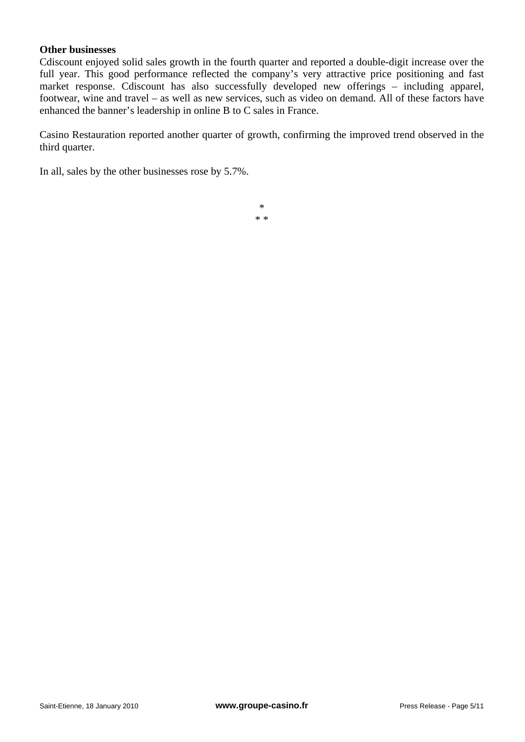#### **Other businesses**

Cdiscount enjoyed solid sales growth in the fourth quarter and reported a double-digit increase over the full year. This good performance reflected the company's very attractive price positioning and fast market response. Cdiscount has also successfully developed new offerings – including apparel, footwear, wine and travel – as well as new services, such as video on demand. All of these factors have enhanced the banner's leadership in online B to C sales in France.

Casino Restauration reported another quarter of growth, confirming the improved trend observed in the third quarter.

In all, sales by the other businesses rose by 5.7%.

\* \* \*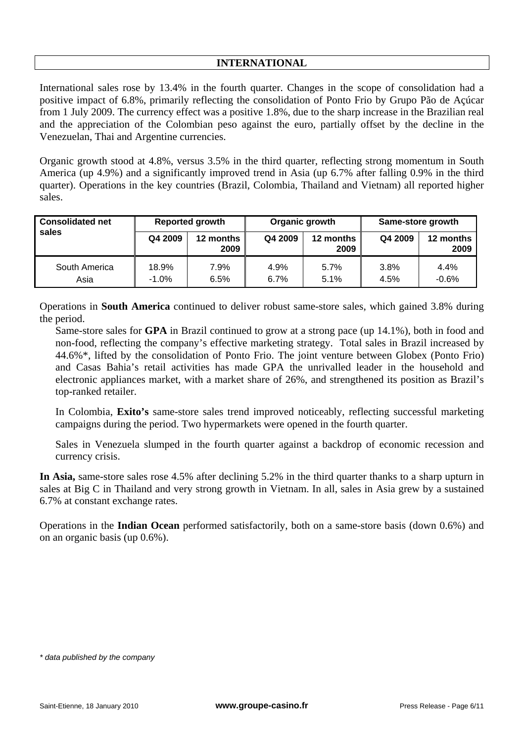# **INTERNATIONAL**

International sales rose by 13.4% in the fourth quarter. Changes in the scope of consolidation had a positive impact of 6.8%, primarily reflecting the consolidation of Ponto Frio by Grupo Pão de Açúcar from 1 July 2009. The currency effect was a positive 1.8%, due to the sharp increase in the Brazilian real and the appreciation of the Colombian peso against the euro, partially offset by the decline in the Venezuelan, Thai and Argentine currencies.

Organic growth stood at 4.8%, versus 3.5% in the third quarter, reflecting strong momentum in South America (up 4.9%) and a significantly improved trend in Asia (up 6.7% after falling 0.9% in the third quarter). Operations in the key countries (Brazil, Colombia, Thailand and Vietnam) all reported higher sales.

| <b>Consolidated net</b> | <b>Reported growth</b> |                   | Organic growth |                   | Same-store growth |                   |  |
|-------------------------|------------------------|-------------------|----------------|-------------------|-------------------|-------------------|--|
| sales                   | Q4 2009                | 12 months<br>2009 | Q4 2009        | 12 months<br>2009 | Q4 2009           | 12 months<br>2009 |  |
| South America<br>Asia   | 18.9%<br>$-1.0\%$      | 7.9%<br>6.5%      | 4.9%<br>6.7%   | 5.7%<br>5.1%      | 3.8%<br>4.5%      | 4.4%<br>$-0.6%$   |  |

Operations in **South America** continued to deliver robust same-store sales, which gained 3.8% during the period.

Same-store sales for **GPA** in Brazil continued to grow at a strong pace (up 14.1%), both in food and non-food, reflecting the company's effective marketing strategy. Total sales in Brazil increased by 44.6%\*, lifted by the consolidation of Ponto Frio. The joint venture between Globex (Ponto Frio) and Casas Bahia's retail activities has made GPA the unrivalled leader in the household and electronic appliances market, with a market share of 26%, and strengthened its position as Brazil's top-ranked retailer.

In Colombia, **Exito's** same-store sales trend improved noticeably, reflecting successful marketing campaigns during the period. Two hypermarkets were opened in the fourth quarter.

Sales in Venezuela slumped in the fourth quarter against a backdrop of economic recession and currency crisis.

**In Asia,** same-store sales rose 4.5% after declining 5.2% in the third quarter thanks to a sharp upturn in sales at Big C in Thailand and very strong growth in Vietnam. In all, sales in Asia grew by a sustained 6.7% at constant exchange rates.

Operations in the **Indian Ocean** performed satisfactorily, both on a same-store basis (down 0.6%) and on an organic basis (up 0.6%).

*<sup>\*</sup> data published by the company*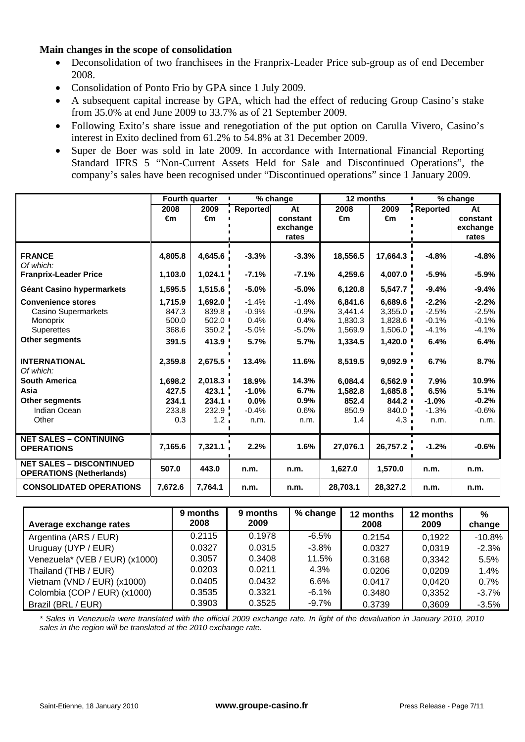## **Main changes in the scope of consolidation**

- Deconsolidation of two franchisees in the Franprix-Leader Price sub-group as of end December 2008.
- Consolidation of Ponto Frio by GPA since 1 July 2009.
- A subsequent capital increase by GPA, which had the effect of reducing Group Casino's stake from 35.0% at end June 2009 to 33.7% as of 21 September 2009.
- Following Exito's share issue and renegotiation of the put option on Carulla Vivero, Casino's interest in Exito declined from 61.2% to 54.8% at 31 December 2009.
- Super de Boer was sold in late 2009. In accordance with International Financial Reporting Standard IFRS 5 "Non-Current Assets Held for Sale and Discontinued Operations", the company's sales have been recognised under "Discontinued operations" since 1 January 2009.

|                                                                    | Fourth quarter |                    |                 | % change         | 12 months          |                      |                    | % change           |
|--------------------------------------------------------------------|----------------|--------------------|-----------------|------------------|--------------------|----------------------|--------------------|--------------------|
|                                                                    | 2008<br>€m     | 2009<br>€m         | <b>Reported</b> | At<br>constant   | 2008<br>€m         | 2009<br>€m           | Reported           | At<br>constant     |
|                                                                    |                |                    |                 | exchange         |                    |                      |                    | exchange           |
|                                                                    |                |                    |                 | rates            |                    |                      |                    | rates              |
| <b>FRANCE</b><br>Of which:                                         | 4,805.8        | 4,645.6            | $-3.3%$         | $-3.3%$          | 18,556.5           | 17,664.3             | $-4.8%$            | $-4.8%$            |
| <b>Franprix-Leader Price</b>                                       | 1,103.0        | 1,024.1            | $-7.1%$         | $-7.1%$          | 4,259.6            | 4,007.0              | $-5.9%$            | $-5.9%$            |
| Géant Casino hypermarkets                                          | 1,595.5        | 1,515.6            | $-5.0%$         | $-5.0%$          | 6,120.8            | 5,547.7              | $-9.4%$            | $-9.4%$            |
| <b>Convenience stores</b>                                          | 1.715.9        | 1,692.0            | $-1.4%$         | $-1.4%$          | 6.841.6            | 6,689.6              | $-2.2%$            | $-2.2%$            |
| <b>Casino Supermarkets</b>                                         | 847.3          | 839.8 <sub>1</sub> | $-0.9%$         | $-0.9%$          | 3,441.4            | $3,355.0$ i          | $-2.5%$            | $-2.5%$            |
| Monoprix<br><b>Superettes</b>                                      | 500.0<br>368.6 | 502.0<br>350.2     | 0.4%<br>$-5.0%$ | 0.4%<br>$-5.0\%$ | 1,830.3<br>1,569.9 | 1,828.6 '<br>1,506.0 | $-0.1%$<br>$-4.1%$ | $-0.1%$<br>$-4.1%$ |
| <b>Other segments</b>                                              | 391.5          | 413.9              | 5.7%            | 5.7%             | 1,334.5            | 1,420.0              | 6.4%               | 6.4%               |
| <b>INTERNATIONAL</b><br>Of which:                                  | 2,359.8        | 2,675.5            | 13.4%           | 11.6%            | 8,519.5            | 9,092.9              | 6.7%               | 8.7%               |
| <b>South America</b>                                               | 1,698.2        | 2,018.3            | 18.9%           | 14.3%            | 6,084.4            | 6,562.9              | 7.9%               | 10.9%              |
| Asia                                                               | 427.5          | 423.1              | $-1.0%$         | 6.7%             | 1,582.8            | 1,685.8              | 6.5%               | 5.1%               |
| Other segments                                                     | 234.1          | 234.1              | 0.0%            | 0.9%             | 852.4              | 844.2                | $-1.0%$            | $-0.2%$            |
| Indian Ocean                                                       | 233.8          | 232.9              | $-0.4%$         | 0.6%             | 850.9              | 840.0                | $-1.3%$            | $-0.6%$            |
| Other                                                              | 0.3            | 1.2 <sub>1</sub>   | n.m.            | n.m.             | 1.4                | 4.3 <sub>1</sub>     | n.m.               | n.m.               |
| <b>NET SALES - CONTINUING</b><br><b>OPERATIONS</b>                 | 7,165.6        | 7,321.1            | 2.2%            | 1.6%             | 27,076.1           | 26,757.2             | $-1.2%$            | $-0.6%$            |
| <b>NET SALES - DISCONTINUED</b><br><b>OPERATIONS (Netherlands)</b> | 507.0          | 443.0              | n.m.            | n.m.             | 1,627.0            | 1,570.0              | n.m.               | n.m.               |
| <b>CONSOLIDATED OPERATIONS</b>                                     | 7,672.6        | 7,764.1            | n.m.            | n.m.             | 28,703.1           | 28,327.2             | n.m.               | n.m.               |

| Average exchange rates         | 9 months<br>2008 | 9 months<br>2009 | % change | 12 months<br>2008 | 12 months<br>2009 | %<br>change |
|--------------------------------|------------------|------------------|----------|-------------------|-------------------|-------------|
| Argentina (ARS / EUR)          | 0.2115           | 0.1978           | $-6.5\%$ | 0.2154            | 0.1922            | $-10.8%$    |
| Uruguay (UYP / EUR)            | 0.0327           | 0.0315           | -3.8%    | 0.0327            | 0,0319            | $-2.3%$     |
| Venezuela* (VEB / EUR) (x1000) | 0.3057           | 0.3408           | 11.5%    | 0.3168            | 0,3342            | 5.5%        |
| Thailand (THB / EUR)           | 0.0203           | 0.0211           | 4.3%     | 0.0206            | 0,0209            | 1.4%        |
| Vietnam (VND / EUR) (x1000)    | 0.0405           | 0.0432           | $6.6\%$  | 0.0417            | 0,0420            | 0.7%        |
| Colombia (COP / EUR) (x1000)   | 0.3535           | 0.3321           | $-6.1%$  | 0.3480            | 0,3352            | $-3.7%$     |
| Brazil (BRL / EUR)             | 0.3903           | 0.3525           | $-9.7%$  | 0.3739            | 0,3609            | $-3.5%$     |

*\* Sales in Venezuela were translated with the official 2009 exchange rate. In light of the devaluation in January 2010, 2010 sales in the region will be translated at the 2010 exchange rate.*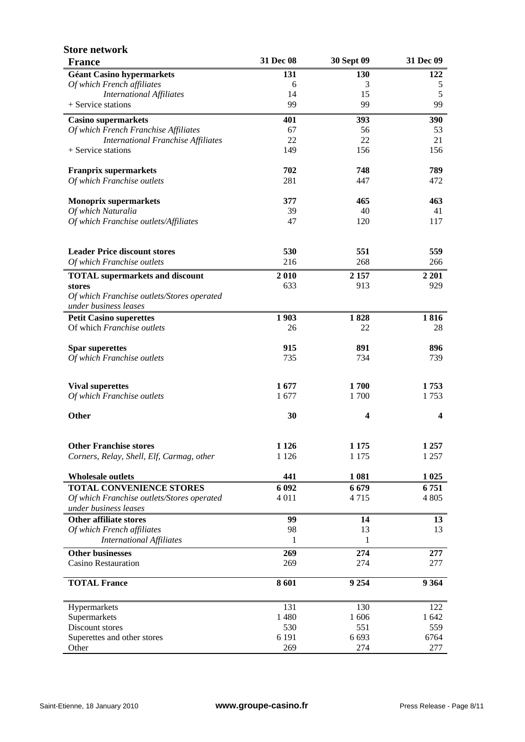| <b>Store network</b><br><b>France</b>      | 31 Dec 08 | 30 Sept 09 | 31 Dec 09               |
|--------------------------------------------|-----------|------------|-------------------------|
| <b>Géant Casino hypermarkets</b>           | 131       | 130        | 122                     |
| Of which French affiliates                 | 6         | 3          | 5                       |
| <b>International Affiliates</b>            | 14        | 15         | 5                       |
| + Service stations                         | 99        | 99         | 99                      |
| <b>Casino supermarkets</b>                 | 401       | 393        | 390                     |
| Of which French Franchise Affiliates       | 67        | 56         | 53                      |
| <b>International Franchise Affiliates</b>  | 22        | 22         | 21                      |
| + Service stations                         | 149       | 156        | 156                     |
| <b>Franprix supermarkets</b>               | 702       | 748        | 789                     |
| Of which Franchise outlets                 | 281       | 447        | 472                     |
| <b>Monoprix supermarkets</b>               | 377       | 465        | 463                     |
| Of which Naturalia                         | 39        | 40         | 41                      |
| Of which Franchise outlets/Affiliates      | 47        | 120        | 117                     |
| <b>Leader Price discount stores</b>        | 530       | 551        | 559                     |
| Of which Franchise outlets                 | 216       | 268        | 266                     |
| <b>TOTAL</b> supermarkets and discount     | 2010      | 2 1 5 7    | 2 2 0 1                 |
| stores                                     | 633       | 913        | 929                     |
| Of which Franchise outlets/Stores operated |           |            |                         |
| under business leases                      |           |            |                         |
| <b>Petit Casino superettes</b>             | 1903      | 1828       | 1816                    |
| Of which Franchise outlets                 | 26        | 22         | 28                      |
| <b>Spar superettes</b>                     | 915       | 891        | 896                     |
| Of which Franchise outlets                 | 735       | 734        | 739                     |
| <b>Vival superettes</b>                    | 1677      | 1700       | 1753                    |
| Of which Franchise outlets                 | 1677      | 1700       | 1753                    |
|                                            |           |            |                         |
| Other                                      | 30        | 4          | $\overline{\mathbf{4}}$ |
| <b>Other Franchise stores</b>              | 1 1 2 6   | 1 1 7 5    | 1 2 5 7                 |
| Corners, Relay, Shell, Elf, Carmag, other  | 1 1 2 6   | 1 1 7 5    | 1 2 5 7                 |
| <b>Wholesale outlets</b>                   | 441       | 1 0 8 1    | 1 0 25                  |
| <b>TOTAL CONVENIENCE STORES</b>            | 6 0 9 2   | 6679       | 6751                    |
| Of which Franchise outlets/Stores operated | 4 0 1 1   | 4715       | 4 8 0 5                 |
| under business leases                      |           |            |                         |
| <b>Other affiliate stores</b>              | 99        | 14         | 13                      |
| Of which French affiliates                 | 98        | 13         | 13                      |
| <b>International Affiliates</b>            | 1         | 1          |                         |
| <b>Other businesses</b>                    | 269       | 274        | 277                     |
| <b>Casino Restauration</b>                 | 269       | 274        | 277                     |
| <b>TOTAL France</b>                        | 8601      | 9 2 5 4    | 9 3 6 4                 |
| Hypermarkets                               | 131       | 130        | 122                     |
| Supermarkets                               | 1 4 8 0   | 1 606      | 1 642                   |
| Discount stores                            | 530       | 551        | 559                     |
| Superettes and other stores                | 6 1 9 1   | 6 6 9 3    | 6764                    |
| Other                                      | 269       | 274        | 277                     |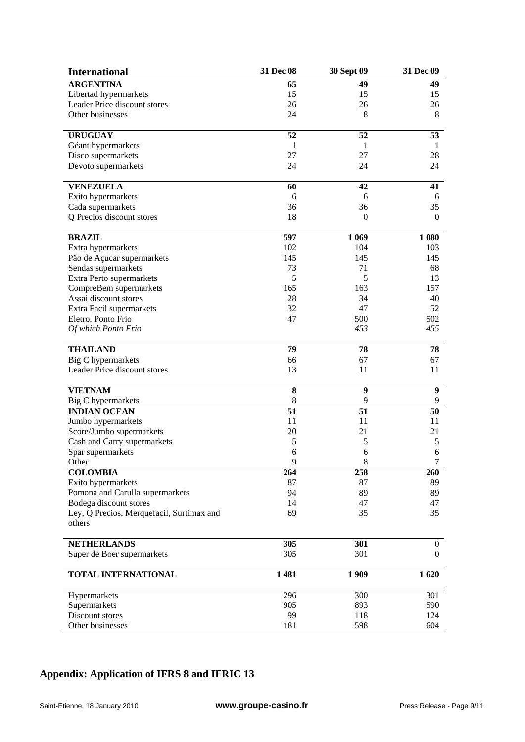| <b>International</b>                      | 31 Dec 08       | 30 Sept 09       | 31 Dec 09        |
|-------------------------------------------|-----------------|------------------|------------------|
| <b>ARGENTINA</b>                          | 65              | 49               | 49               |
| Libertad hypermarkets                     | 15              | 15               | 15               |
| Leader Price discount stores              | 26              | 26               | 26               |
| Other businesses                          | 24              | 8                | 8                |
|                                           |                 |                  |                  |
| <b>URUGUAY</b>                            | 52              | 52               | 53               |
| Géant hypermarkets                        | 1               | 1                | 1                |
| Disco supermarkets                        | 27              | 27               | 28               |
| Devoto supermarkets                       | 24              | 24               | 24               |
| <b>VENEZUELA</b>                          | 60              | 42               | 41               |
| Exito hypermarkets                        | 6               | 6                | 6                |
| Cada supermarkets                         | 36              | 36               | 35               |
| Q Precios discount stores                 | 18              | $\boldsymbol{0}$ | $\boldsymbol{0}$ |
|                                           |                 |                  |                  |
| <b>BRAZIL</b>                             | 597             | 1 0 6 9          | 1 0 8 0          |
| Extra hypermarkets                        | 102             | 104              | 103              |
| Päo de Açucar supermarkets                | 145             | 145              | 145              |
| Sendas supermarkets                       | 73              | 71               | 68               |
| Extra Perto supermarkets                  | 5               | 5                | 13               |
| CompreBem supermarkets                    | 165             | 163              | 157              |
| Assai discount stores                     | 28              | 34               | 40               |
| Extra Facil supermarkets                  | 32              | 47               | 52               |
| Eletro, Ponto Frio                        | 47              | 500              | 502              |
| Of which Ponto Frio                       |                 | 453              | 455              |
|                                           |                 |                  |                  |
| <b>THAILAND</b>                           | 79              | 78               | 78               |
| Big C hypermarkets                        | 66              | 67               | 67               |
| Leader Price discount stores              | 13              | 11               | 11               |
| <b>VIETNAM</b>                            | 8               | 9                | $\boldsymbol{9}$ |
| Big C hypermarkets                        | 8               | 9                | 9                |
| <b>INDIAN OCEAN</b>                       | $\overline{51}$ | $\overline{51}$  | 50               |
| Jumbo hypermarkets                        | 11              | 11               | 11               |
| Score/Jumbo supermarkets                  | 20              | 21               | 21               |
| Cash and Carry supermarkets               | 5               | 5                | 5                |
| Spar supermarkets                         | 6               | 6                | 6                |
| Other                                     | 9               | 8                | $\prime$         |
| <b>COLOMBIA</b>                           | 264             | 258              | 260              |
| Exito hypermarkets                        | 87              | 87               | 89               |
| Pomona and Carulla supermarkets           | 94              | 89               | 89               |
| Bodega discount stores                    | 14              | 47               | 47               |
| Ley, Q Precios, Merquefacil, Surtimax and | 69              | 35               | 35               |
| others                                    |                 |                  |                  |
| <b>NETHERLANDS</b>                        | 305             | 301              | $\overline{0}$   |
| Super de Boer supermarkets                | 305             | 301              | $\overline{0}$   |
|                                           |                 |                  |                  |
| TOTAL INTERNATIONAL                       | 1481            | 1909             | 1620             |
| Hypermarkets                              | 296             | 300              | 301              |
| Supermarkets                              | 905             | 893              | 590              |
| Discount stores                           | 99              | 118              | 124              |
| Other businesses                          | 181             | 598              | 604              |

# **Appendix: Application of IFRS 8 and IFRIC 13**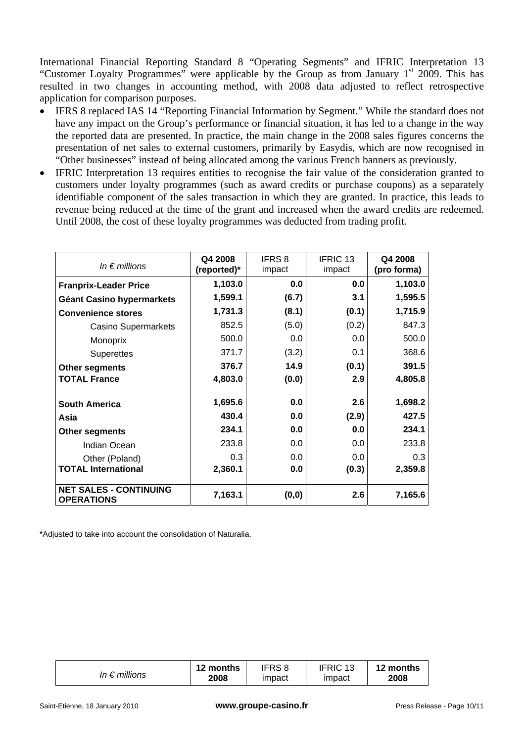International Financial Reporting Standard 8 "Operating Segments" and IFRIC Interpretation 13 "Customer Loyalty Programmes" were applicable by the Group as from January 1<sup>st</sup> 2009. This has resulted in two changes in accounting method, with 2008 data adjusted to reflect retrospective application for comparison purposes.

- IFRS 8 replaced IAS 14 "Reporting Financial Information by Segment." While the standard does not have any impact on the Group's performance or financial situation, it has led to a change in the way the reported data are presented. In practice, the main change in the 2008 sales figures concerns the presentation of net sales to external customers, primarily by Easydis, which are now recognised in "Other businesses" instead of being allocated among the various French banners as previously.
- IFRIC Interpretation 13 requires entities to recognise the fair value of the consideration granted to customers under loyalty programmes (such as award credits or purchase coupons) as a separately identifiable component of the sales transaction in which they are granted. In practice, this leads to revenue being reduced at the time of the grant and increased when the award credits are redeemed. Until 2008, the cost of these loyalty programmes was deducted from trading profit.

| In $\epsilon$ millions                             | Q4 2008<br>(reported)* | <b>IFRS8</b><br>impact | IFRIC <sub>13</sub><br>impact | Q4 2008<br>(pro forma) |
|----------------------------------------------------|------------------------|------------------------|-------------------------------|------------------------|
| <b>Franprix-Leader Price</b>                       | 1,103.0                | 0.0                    | 0.0                           | 1,103.0                |
| Géant Casino hypermarkets                          | 1,599.1                | (6.7)                  | 3.1                           | 1,595.5                |
| <b>Convenience stores</b>                          | 1,731.3                | (8.1)                  | (0.1)                         | 1,715.9                |
| <b>Casino Supermarkets</b>                         | 852.5                  | (5.0)                  | (0.2)                         | 847.3                  |
| Monoprix                                           | 500.0                  | 0.0                    | 0.0                           | 500.0                  |
| <b>Superettes</b>                                  | 371.7                  | (3.2)                  | 0.1                           | 368.6                  |
| <b>Other segments</b>                              | 376.7                  | 14.9                   | (0.1)                         | 391.5                  |
| <b>TOTAL France</b>                                | 4,803.0                | (0.0)                  | 2.9                           | 4,805.8                |
| <b>South America</b>                               | 1,695.6                | 0.0                    | 2.6                           | 1,698.2                |
| Asia                                               | 430.4                  | 0.0                    | (2.9)                         | 427.5                  |
| <b>Other segments</b>                              | 234.1                  | 0.0                    | 0.0                           | 234.1                  |
| Indian Ocean                                       | 233.8                  | 0.0                    | 0.0                           | 233.8                  |
| Other (Poland)                                     | 0.3                    | 0.0                    | 0.0                           | 0.3                    |
| <b>TOTAL International</b>                         | 2,360.1                | 0.0                    | (0.3)                         | 2,359.8                |
| <b>NET SALES - CONTINUING</b><br><b>OPERATIONS</b> | 7,163.1                | (0, 0)                 | 2.6                           | 7,165.6                |

\*Adjusted to take into account the consolidation of Naturalia.

| In $\epsilon$ millions | 12 months<br>2008 | IFRS 8<br>impact | <b>IFRIC</b><br>$\overline{A}$<br>impact | 12 months<br>2008 |
|------------------------|-------------------|------------------|------------------------------------------|-------------------|
|------------------------|-------------------|------------------|------------------------------------------|-------------------|